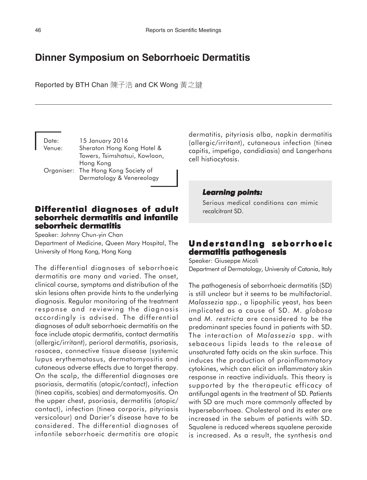# **Dinner Symposium on Seborrhoeic Dermatitis**

Reported by BTH Chan 陳子浩 and CK Wong 黃之鍵

| Date:  | 15 January 2016                     |
|--------|-------------------------------------|
| Venue: | Sheraton Hong Kong Hotel &          |
|        | Towers, Tsimshatsui, Kowloon,       |
|        | Hong Kong                           |
|        | Organiser: The Hong Kong Society of |
|        | Dermatology & Venereology           |

# **Differential diagnoses of adult of adult seborrheic dermatitis and infantile seborrheic dermatitis**

Speaker: Johnny Chun-yin Chan Department of Medicine, Queen Mary Hospital, The University of Hong Kong, Hong Kong

The differential diagnoses of seborrhoeic dermatitis are many and varied. The onset, clinical course, symptoms and distribution of the skin lesions often provide hints to the underlying diagnosis. Regular monitoring of the treatment response and reviewing the diagnosis accordingly is advised. The differential diagnoses of adult seborrhoeic dermatitis on the face include atopic dermatitis, contact dermatitis (allergic/irritant), perioral dermatitis, psoriasis, rosacea, connective tissue disease (systemic lupus erythematosus, dermatomyositis and cutaneous adverse effects due to target therapy. On the scalp, the differential diagnoses are psoriasis, dermatitis (atopic/contact), infection (tinea capitis, scabies) and dermatomyositis. On the upper chest, psoriasis, dermatitis (atopic/ contact), infection (tinea corporis, pityriasis versicolour) and Darier's disease have to be considered. The differential diagnoses of infantile seborrhoeic dermatitis are atopic dermatitis, pityriasis alba, napkin dermatitis (allergic/irritant), cutaneous infection (tinea capitis, impetigo, candidiasis) and Langerhans cell histiocytosis.

### *Learning points: Learning points:*

Serious medical conditions can mimic recalcitrant SD.

# **Understanding seborrhoeic dermatitis pathogenesis**

Speaker: Giuseppe Micali Department of Dermatology, University of Catania, Italy

The pathogenesis of seborrhoeic dermatitis (SD) is still unclear but it seems to be multifactorial. *Malassezia* spp., a lipophilic yeast, has been implicated as a cause of SD. *M*. *globosa* and *M. restricta* are considered to be the predominant species found in patients with SD. The interaction of *Malassezia* spp. with sebaceous lipids leads to the release of unsaturated fatty acids on the skin surface. This induces the production of proinflammatory cytokines, which can elicit an inflammatory skin response in reactive individuals. This theory is supported by the therapeutic efficacy of antifungal agents in the treatment of SD. Patients with SD are much more commonly affected by hyperseborrhoea. Cholesterol and its ester are increased in the sebum of patients with SD. Squalene is reduced whereas squalene peroxide is increased. As a result, the synthesis and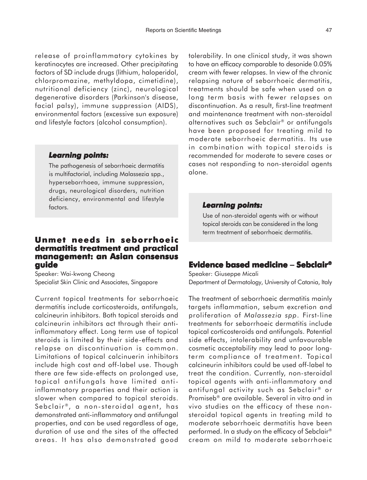release of proinflammatory cytokines by keratinocytes are increased. Other precipitating factors of SD include drugs (lithium, haloperidol, chlorpromazine, methyldopa, cimetidine), nutritional deficiency (zinc), neurological degenerative disorders (Parkinson's disease, facial palsy), immune suppression (AIDS), environmental factors (excessive sun exposure) and lifestyle factors (alcohol consumption).

#### *Learning points: Learning*

The pathogenesis of seborrhoeic dermatitis is multifactorial, including Malassezia spp., hyperseborrhoea, immune suppression, drugs, neurological disorders, nutrition deficiency, environmental and lifestyle factors.

## **Unmet needs in seborrhoeic dermatitis treatment and practical dermatitis practical management: an Asian consensus guide**

Speaker: Wai-kwong Cheong Specialist Skin Clinic and Associates, Singapore

Current topical treatments for seborrhoeic dermatitis include corticosteroids, antifungals, calcineurin inhibitors. Both topical steroids and calcineurin inhibitors act through their antiinflammatory effect. Long term use of topical steroids is limited by their side-effects and relapse on discontinuation is common. Limitations of topical calcinuerin inhibitors include high cost and off-label use. Though there are few side-effects on prolonged use, topical antifungals have limited antiinflammatory properties and their action is slower when compared to topical steroids. Sebclair®, a non-steroidal agent, has demonstrated anti-inflammatory and antifungal properties, and can be used regardless of age, duration of use and the sites of the affected areas. It has also demonstrated good

tolerability. In one clinical study, it was shown to have an efficacy comparable to desonide 0.05% cream with fewer relapses. In view of the chronic relapsing nature of seborrhoeic dermatitis, treatments should be safe when used on a long term basis with fewer relapses on discontinuation. As a result, first-line treatment and maintenance treatment with non-steroidal alternatives such as Sebclair® or antifungals have been proposed for treating mild to moderate seborrhoeic dermatitis. Its use in combination with topical steroids is recommended for moderate to severe cases or cases not responding to non-steroidal agents alone.

### *Learning points: Learning points:*

Use of non-steroidal agents with or without topical steroids can be considered in the long term treatment of seborrhoeic dermatitis.

### **Evidence based medicine Evidence** − **Sebclair®**

Speaker: Giuseppe Micali Department of Dermatology, University of Catania, Italy

The treatment of seborrhoeic dermatitis mainly targets inflammation, sebum excretion and proliferation of *Malassezia spp*. First-line treatments for seborrhoeic dermatitis include topical corticosteroids and antifungals. Potential side effects, intolerability and unfavourable cosmetic acceptability may lead to poor longterm compliance of treatment. Topical calcineurin inhibitors could be used off-label to treat the condition. Currently, non-steroidal topical agents with anti-inflammatory and antifungal activity such as Sebclair<sup>®</sup> or Promiseb® are available. Several in vitro and in vivo studies on the efficacy of these nonsteroidal topical agents in treating mild to moderate seborrhoeic dermatitis have been performed. In a study on the efficacy of Sebclair® cream on mild to moderate seborrhoeic